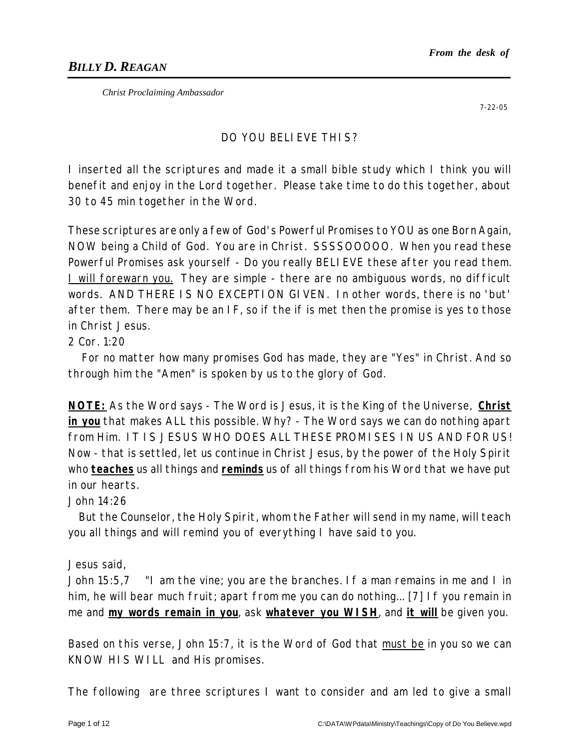*Christ Proclaiming Ambassador*

7-22-05

## DO YOU BELIEVE THIS?

I inserted all the scriptures and made it a small bible study which I think you will benefit and enjoy in the Lord together. Please take time to do this together, about 30 to 45 min together in the Word.

These scriptures are only a few of God's Powerful Promises to YOU as one Born Again, NOW being a Child of God. You are in Christ. SSSSOOOOO. When you read these Powerful Promises ask yourself - Do you really BELI EVE these after you read them. I will forewarn you. They are simple - there are no ambiguous words, no difficult words. AND THERE IS NO EXCEPTION GIVEN. In other words, there is no 'but' after them. There may be an IF, so if the if is met then the promise is yes to those in Christ Jesus.

## 2 Cor. 1:20

For no matter how many promises God has made, they are "Yes" in Christ. And so through him the "Amen" is spoken by us to the glory of God.

**NOTE:** As the Word says - The Word is Jesus, it is the King of the Universe, **Christ in you** that makes ALL this possible. Why? - The Word says we can do nothing apart from Him. IT IS JESUS WHO DOES ALL THESE PROMISES IN US AND FOR US! Now - that is settled, let us continue in Christ Jesus, by the power of the Holy Spirit who **teaches** us all things and **reminds** us of all things from his Word that we have put in our hearts.

### John 14:26

But the Counselor, the Holy Spirit, whom the Father will send in my name, will teach you all things and will remind you of everything I have said to you.

### Jesus said,

John 15:5,7 "I am the vine; you are the branches. If a man remains in me and I in him, he will bear much fruit; apart from me you can do nothing... [7] If you remain in me and **my words remain in you**, ask **whatever you WISH**, and **it will** be given you.

Based on this verse, John 15:7, it is the Word of God that must be in you so we can KNOW HIS WILL and His promises.

The following are three scriptures I want to consider and am led to give a small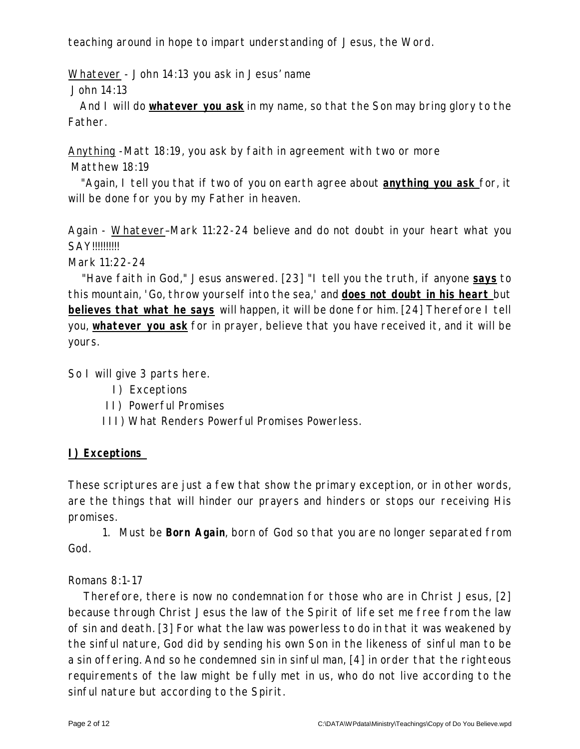teaching around in hope to impart understanding of Jesus, the Word.

Whatever - John 14:13 you ask in Jesus' name

John 14:13

And I will do **whatever you ask** in my name, so that the Son may bring glory to the Father.

Anything -Matt 18:19, you ask by faith in agreement with two or more Matthew 18:19

"Again, I tell you that if two of you on earth agree about **anything you ask** for, it will be done for you by my Father in heaven.

Again - Whatever–Mark 11:22-24 believe and do not doubt in your heart what you SAY!!!!!!!!!!

Mark 11:22-24

"Have faith in God," Jesus answered. [23] "I tell you the truth, if anyone **says** to this mountain, 'Go, throw yourself into the sea,' and **does not doubt in his heart** but **believes that what he says** will happen, it will be done for him. [24] Therefore I tell you, **whatever you ask** for in prayer, believe that you have received it, and it will be yours.

So I will give 3 parts here.

- I) Exceptions
- II) Powerful Promises
- III) What Renders Powerful Promises Powerless.

# **I) Exceptions**

These scriptures are just a few that show the primary exception, or in other words, are the things that will hinder our prayers and hinders or stops our receiving His promises.

1. Must be **Born Again**, born of God so that you are no longer separated from God.

## Romans 8:1-17

Therefore, there is now no condemnation for those who are in Christ Jesus, [2] because through Christ Jesus the law of the Spirit of life set me free from the law of sin and death. [3] For what the law was powerless to do in that it was weakened by the sinful nature, God did by sending his own Son in the likeness of sinful man to be a sin offering. And so he condemned sin in sinful man, [4] in order that the righteous requirements of the law might be fully met in us, who do not live according to the sinful nature but according to the Spirit.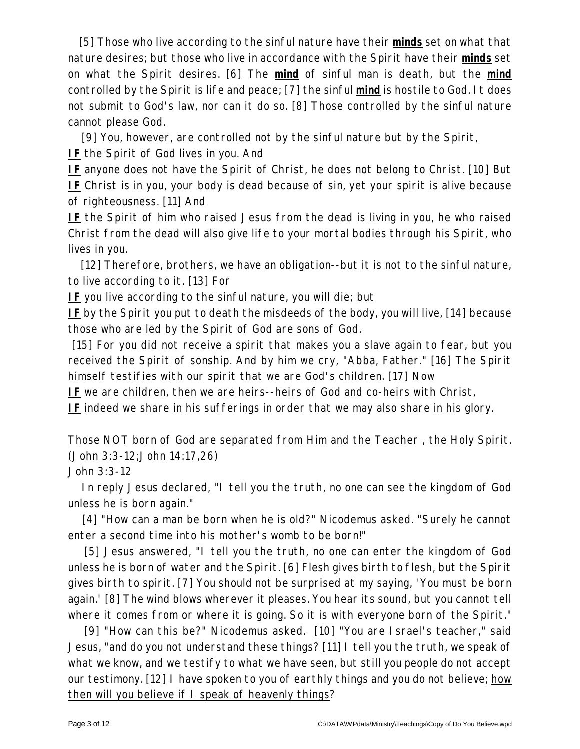[5] Those who live according to the sinful nature have their *minds* set on what that nature desires; but those who live in accordance with the Spirit have their *minds* set on what the Spirit desires. [6] The *mind* of sinful man is death, but the *mind* controlled by the Spirit is life and peace; [7] the sinful *mind* is hostile to God. It does not submit to God's law, nor can it do so. [8] Those controlled by the sinful nature cannot please God.

[9] You, however, are controlled not by the sinful nature but by the Spirit,

**IF** the Spirit of God lives in you. And

**IF** anyone does not have the Spirit of Christ, he does not belong to Christ. [10] But **IF** Christ is in you, your body is dead because of sin, yet your spirit is alive because of righteousness. [11] And

**IF** the Spirit of him who raised Jesus from the dead is living in you, he who raised Christ from the dead will also give life to your mortal bodies through his Spirit, who lives in you.

[12] Therefore, brothers, we have an obligation--but it is not to the sinful nature, to live according to it. [13] For

**IF** you live according to the sinful nature, you will die; but

**IF** by the Spirit you put to death the misdeeds of the body, you will live, [14] because those who are led by the Spirit of God are sons of God.

[15] For you did not receive a spirit that makes you a slave again to fear, but you received the Spirit of sonship. And by him we cry, "Abba, Father." [16] The Spirit himself testifies with our spirit that we are God's children. [17] Now

**IF** we are children, then we are heirs--heirs of God and co-heirs with Christ,

**IF** indeed we share in his sufferings in order that we may also share in his glory.

Those NOT born of God are separated from Him and the Teacher , the Holy Spirit. (John 3:3-12;John 14:17,26)

John 3:3-12

In reply Jesus declared, "I tell you the truth, no one can see the kingdom of God unless he is born again."

[4] "How can a man be born when he is old?" Nicodemus asked. "Surely he cannot enter a second time into his mother's womb to be born!"

[5] Jesus answered, "I tell you the truth, no one can enter the kingdom of God unless he is born of water and the Spirit. [6] Flesh gives birth to flesh, but the Spirit gives birth to spirit. [7] You should not be surprised at my saying, 'You must be born again.' [8] The wind blows wherever it pleases. You hear its sound, but you cannot tell where it comes from or where it is going. So it is with everyone born of the Spirit."

[9] "How can this be?" Nicodemus asked. [10] "You are Israel's teacher," said Jesus, "and do you not understand these things? [11] I tell you the truth, we speak of what we know, and we testify to what we have seen, but still you people do not accept our testimony. [12] I have spoken to you of earthly things and you do not believe; how then will you believe if I speak of heavenly things?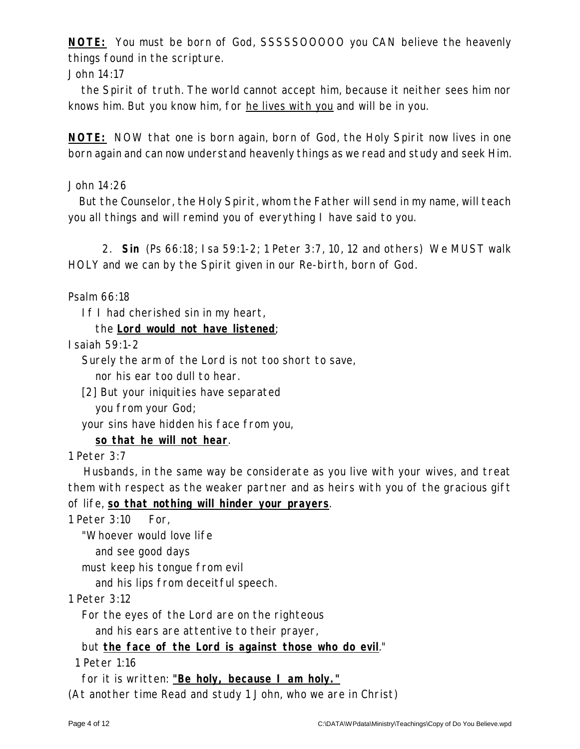**NOTE:** You must be born of God, SSSSSOOOOO you CAN believe the heavenly things found in the scripture.

John 14:17

the Spirit of truth. The world cannot accept him, because it neither sees him nor knows him. But you know him, for he lives with you and will be in you.

**NOTE:** NOW that one is born again, born of God, the Holy Spirit now lives in one born again and can now understand heavenly things as we read and study and seek Him.

John 14:26

But the Counselor, the Holy Spirit, whom the Father will send in my name, will teach you all things and will remind you of everything I have said to you.

2. **Sin** (Ps 66:18; Isa 59:1-2; 1 Peter 3:7, 10, 12 and others) We MUST walk HOLY and we can by the Spirit given in our Re-birth, born of God.

Psalm 66:18

If I had cherished sin in my heart,

the **Lord would not have listened**;

Isaiah 59:1-2

Surely the arm of the Lord is not too short to save,

nor his ear too dull to hear.

[2] But your iniquities have separated

you from your God;

your sins have hidden his face from you,

**so that he will not hear**.

1 Peter 3:7

Husbands, in the same way be considerate as you live with your wives, and treat them with respect as the weaker partner and as heirs with you of the gracious gift of life, **so that nothing will hinder your prayers**.

1 Peter 3:10 For,

"Whoever would love life

and see good days

must keep his tongue from evil

and his lips from deceitful speech.

1 Peter 3:12

For the eyes of the Lord are on the righteous

and his ears are attentive to their prayer,

but **the face of the Lord is against those who do evil**."

1 Peter 1:16

for it is written: **"Be holy, because I am holy."**

(At another time Read and study 1 John, who we are in Christ)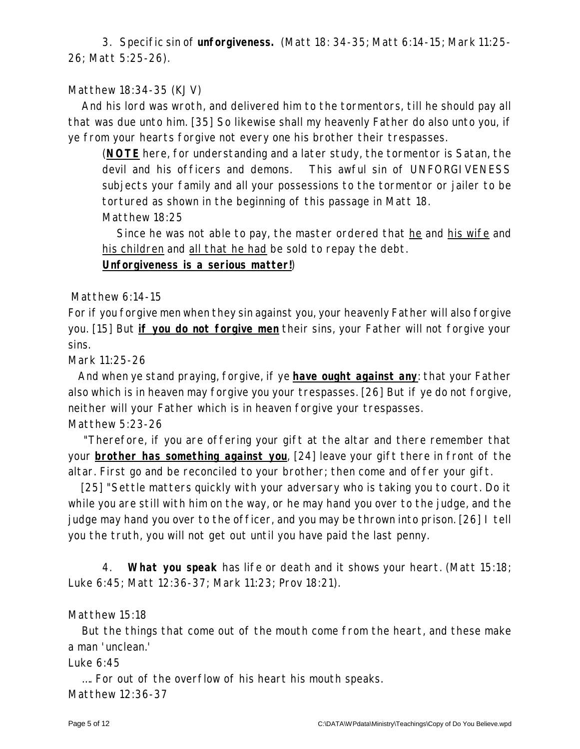3. Specific sin of **unforgiveness.** (Matt 18: 34-35; Matt 6:14-15; Mark 11:25- 26; Matt 5:25-26).

## Matthew 18:34-35 (KJV)

And his lord was wroth, and delivered him to the tormentors, till he should pay all that was due unto him. [35] So likewise shall my heavenly Father do also unto you, if ye from your hearts forgive not every one his brother their trespasses.

(**NOTE** here, for understanding and a later study, the tormentor is Satan, the devil and his officers and demons. This awful sin of UNFORGIVENESS subjects your family and all your possessions to the tormentor or jailer to be tortured as shown in the beginning of this passage in Matt 18. Matthew 18:25

Since he was not able to pay, the master ordered that he and his wife and his children and all that he had be sold to repay the debt.

**Unforgiveness is a serious matter!**)

### Matthew 6:14-15

For if you forgive men when they sin against you, your heavenly Father will also forgive you. [15] But **if you do not forgive men** their sins, your Father will not forgive your sins.

Mark 11:25-26

And when ye stand praying, forgive, if ye **have ought against any**: that your Father also which is in heaven may forgive you your trespasses. [26] But if ye do not forgive, neither will your Father which is in heaven forgive your trespasses.

## Matthew 5:23-26

"Therefore, if you are offering your gift at the altar and there remember that your **brother has something against you**, [24] leave your gift there in front of the altar. First go and be reconciled to your brother; then come and offer your gift.

[25] "Settle matters quickly with your adversary who is taking you to court. Do it while you are still with him on the way, or he may hand you over to the judge, and the judge may hand you over to the officer, and you may be thrown into prison. [26] I tell you the truth, you will not get out until you have paid the last penny.

4. **What you speak** has life or death and it shows your heart. (Matt 15:18; Luke 6:45; Matt 12:36-37; Mark 11:23; Prov 18:21).

### Matthew 15:18

But the things that come out of the mouth come from the heart, and these make a man 'unclean.'

### Luke 6:45

…. For out of the overflow of his heart his mouth speaks. Matthew 12:36-37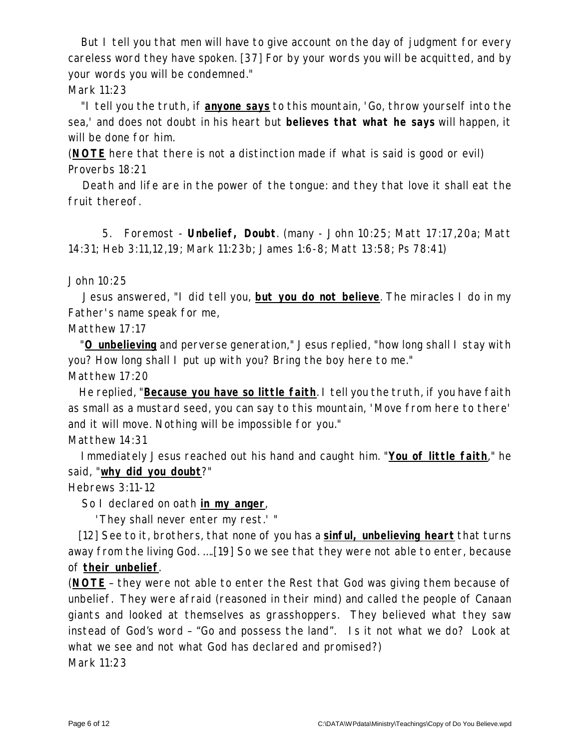But I tell you that men will have to give account on the day of judgment for every careless word they have spoken. [37] For by your words you will be acquitted, and by your words you will be condemned." Mark 11:23

"I tell you the truth, if **anyone says** to this mountain, 'Go, throw yourself into the sea,' and does not doubt in his heart but *believes that what he says* will happen, it will be done for him.

(**NOTE** here that there is not a distinction made if what is said is good or evil) Proverbs 18:21

Death and life are in the power of the tongue: and they that love it shall eat the fruit thereof.

5. Foremost - **Unbelief, Doubt**. (many - John 10:25; Matt 17:17,20a; Matt 14:31; Heb 3:11,12,19; Mark 11:23b; James 1:6-8; Matt 13:58; Ps 78:41)

John 10:25

Jesus answered, "I did tell you, **but you do not believe**. The miracles I do in my Father's name speak for me,

Matthew 17:17

"**O unbelieving** and perverse generation," Jesus replied, "how long shall I stay with you? How long shall I put up with you? Bring the boy here to me."

Matthew 17:20

He replied, "**Because you have so little faith**. I tell you the truth, if you have faith as small as a mustard seed, you can say to this mountain, 'Move from here to there' and it will move. Nothing will be impossible for you."

Matthew 14:31

Immediately Jesus reached out his hand and caught him. "**You of little faith**," he said, "**why did you doubt**?"

Hebrews 3:11-12

So I declared on oath **in my anger**,

'They shall never enter my rest.' "

[12] See to it, brothers, that none of you has a **sinful, unbelieving heart** that turns away from the living God. ….[19] So we see that they were not able to enter, because of **their unbelief**.

(**NOTE** – they were not able to enter the Rest that God was giving them because of unbelief. They were afraid (reasoned in their mind) and called the people of Canaan giants and looked at themselves as grasshoppers. They believed what they saw instead of God's word – "Go and possess the land". Is it not what we do? Look at what we see and not what God has declared and promised?) Mark 11:23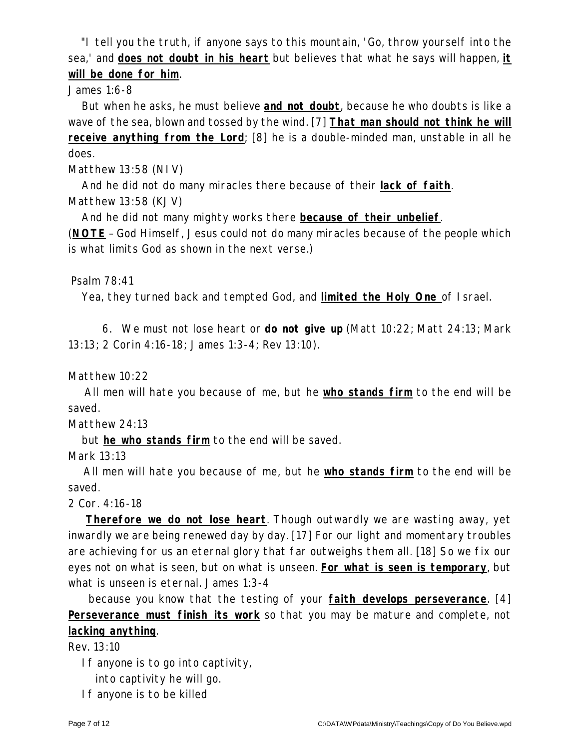"I tell you the truth, if anyone says to this mountain, 'Go, throw yourself into the sea,' and **does not doubt in his heart** but believes that what he says will happen, **it will be done for him**.

## James 1:6-8

But when he asks, he must believe **and not doubt**, because he who doubts is like a wave of the sea, blown and tossed by the wind. [7] **That man should not think he will receive anything from the Lord**; [8] he is a double-minded man, unstable in all he does.

Matthew 13:58 (NIV)

And he did not do many miracles there because of their **lack of faith**. Matthew 13:58 (KJV)

And he did not many mighty works there **because of their unbelief**.

(**NOTE** – God Himself, Jesus could not do many miracles because of the people which is what limits God as shown in the next verse.)

## Psalm 78:41

Yea, they turned back and tempted God, and **limited the Holy One** of Israel.

6. We must not lose heart or **do not give up** (Matt 10:22; Matt 24:13; Mark 13:13; 2 Corin 4:16-18; James 1:3-4; Rev 13:10).

Matthew 10:22

All men will hate you because of me, but he **who stands firm** to the end will be saved.

Matthew 24:13

but **he who stands firm** to the end will be saved.

Mark 13:13

All men will hate you because of me, but he **who stands firm** to the end will be saved.

2 Cor. 4:16-18

**Therefore we do not lose heart**. Though outwardly we are wasting away, yet inwardly we are being renewed day by day. [17] For our light and momentary troubles are achieving for us an eternal glory that far outweighs them all. [18] So we fix our eyes not on what is seen, but on what is unseen. **For what is seen is temporary**, but what is unseen is eternal. James 1:3-4

because you know that the testing of your **faith develops perseverance**. [4] **Perseverance must finish its work** so that you may be mature and complete, not **lacking anything**.

Rev. 13:10

If anyone is to go into captivity,

into captivity he will go.

If anyone is to be killed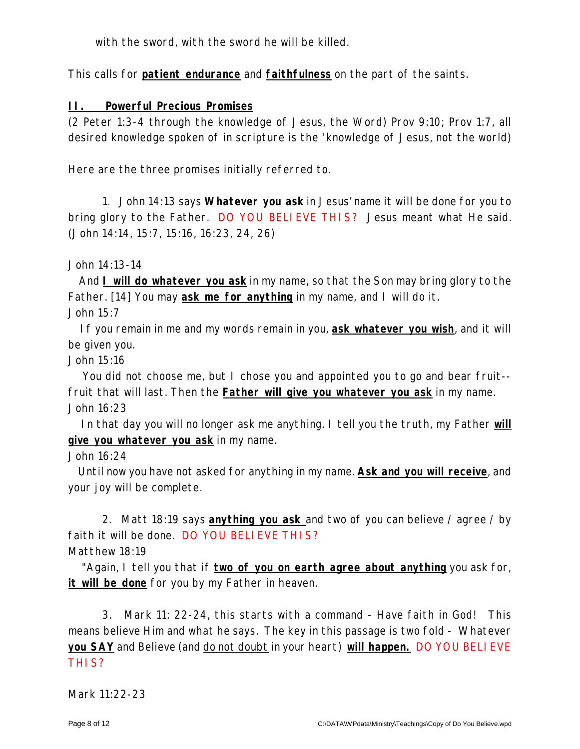with the sword, with the sword he will be killed.

This calls for **patient endurance** and **faithfulness** on the part of the saints.

**II. Powerful Precious Promises**

(2 Peter 1:3-4 through the knowledge of Jesus, the Word) Prov 9:10; Prov 1:7, all desired knowledge spoken of in scripture is the 'knowledge of Jesus, not the world)

Here are the three promises initially referred to.

1. John 14:13 says **Whatever you ask** in Jesus' name it will be done for you to bring glory to the Father. DO YOU BELIEVE THIS? Jesus meant what He said. (John 14:14, 15:7, 15:16, 16:23, 24, 26)

John 14:13-14

And **I will do whatever you ask** in my name, so that the Son may bring glory to the Father. [14] You may **ask me for anything** in my name, and I will do it. John 15:7

If you remain in me and my words remain in you, **ask whatever you wish**, and it will be given you.

John 15:16

You did not choose me, but I chose you and appointed you to go and bear fruit- fruit that will last. Then the **Father will give you whatever you ask** in my name. John 16:23

In that day you will no longer ask me anything. I tell you the truth, my Father **will give you whatever you ask** in my name.

John 16:24

Until now you have not asked for anything in my name. **Ask and you will receive**, and your joy will be complete.

2. Matt 18:19 says **anything you ask** and two of you can believe / agree / by faith it will be done. DO YOU BELIEVE THIS? Matthew 18:19

"Again, I tell you that if **two of you on earth agree about anything** you ask for, **it will be done** for you by my Father in heaven.

3. Mark 11: 22-24, this starts with a command - Have faith in God! This means believe Him and what he says. The key in this passage is two fold - Whatever **you SAY** and Believe (and do not doubt in your heart) **will happen.** DO YOU BELIEVE THIS?

Mark 11:22-23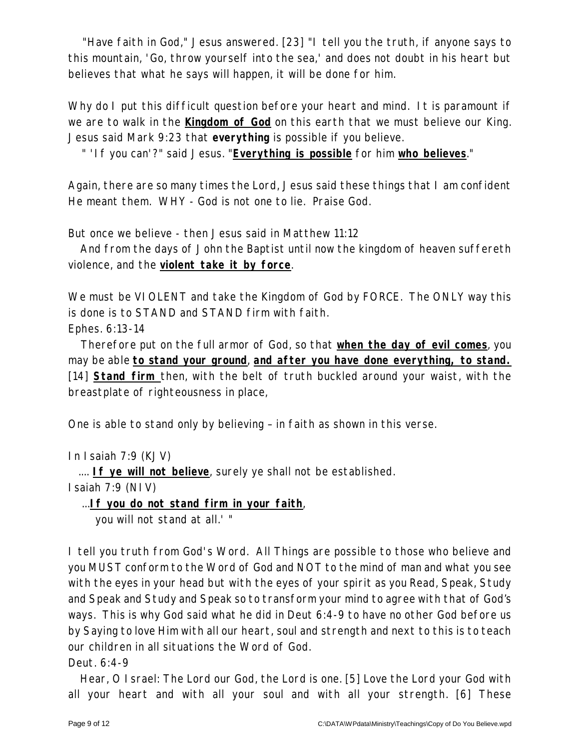"Have faith in God," Jesus answered. [23] "I tell you the truth, if anyone says to this mountain, 'Go, throw yourself into the sea,' and does not doubt in his heart but believes that what he says will happen, it will be done for him.

Why do I put this difficult question before your heart and mind. It is paramount if we are to walk in the **Kingdom of God** on this earth that we must believe our King. Jesus said Mark 9:23 that **everything** is possible if you believe.

" 'If you can'?" said Jesus. "**Everything is possible** for him **who believes**."

Again, there are so many times the Lord, Jesus said these things that I am confident He meant them. WHY - God is not one to lie. Praise God.

But once we believe - then Jesus said in Matthew 11:12

And from the days of John the Baptist until now the kingdom of heaven suffereth violence, and the **violent take it by force**.

We must be VI OLENT and take the Kingdom of God by FORCE. The ONLY way this is done is to STAND and STAND firm with faith.

Ephes. 6:13-14

Therefore put on the full armor of God, so that **when the day of evil comes**, you may be able **to stand your ground**, **and after you have done everything, to stand.** [14] **Stand firm** then, with the belt of truth buckled around your waist, with the breastplate of righteousness in place,

One is able to stand only by believing – in faith as shown in this verse.

In Isaiah 7:9 (KJV)

.... **If ye will not believe**, surely ye shall not be established.

Isaiah 7:9 (NIV)

...**If you do not stand firm in your faith**,

you will not stand at all.' "

I tell you truth from God's Word. All Things are possible to those who believe and you MUST conform to the Word of God and NOT to the mind of man and what you see with the eyes in your head but with the eyes of your spirit as you Read, Speak, Study and Speak and Study and Speak so to transform your mind to agree with that of God's ways. This is why God said what he did in Deut 6:4-9 to have no other God before us by Saying to love Him with all our heart, soul and strength and next to this is to teach our children in all situations the Word of God.

Deut. 6:4-9

Hear, O Israel: The Lord our God, the Lord is one. [5] Love the Lord your God with all your heart and with all your soul and with all your strength. [6] These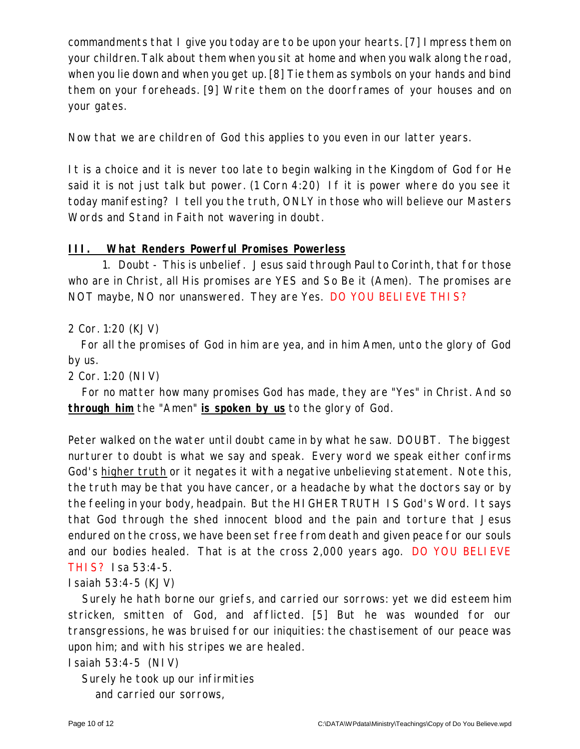commandments that I give you today are to be upon your hearts. [7] Impress them on your children. Talk about them when you sit at home and when you walk along the road, when you lie down and when you get up. [8] Tie them as symbols on your hands and bind them on your foreheads. [9] Write them on the doorframes of your houses and on your gates.

Now that we are children of God this applies to you even in our latter years.

It is a choice and it is never too late to begin walking in the Kingdom of God for He said it is not just talk but power. (1 Corn 4:20) If it is power where do you see it today manifesting? I tell you the truth, ONLY in those who will believe our Masters Words and Stand in Faith not wavering in doubt.

### **III. What Renders Powerful Promises Powerless**

1. Doubt - This is unbelief. Jesus said through Paul to Corinth, that for those who are in Christ, all His promises are YES and So Be it (Amen). The promises are NOT maybe, NO nor unanswered. They are Yes. DO YOU BELIEVE THIS?

## 2 Cor. 1:20 (KJV)

For all the promises of God in him are yea, and in him Amen, unto the glory of God by us.

2 Cor. 1:20 (NIV)

For no matter how many promises God has made, they are "Yes" in Christ. And so **through him** the "Amen" **is spoken by us** to the glory of God.

Peter walked on the water until doubt came in by what he saw. DOUBT. The biggest nurturer to doubt is what we say and speak. Every word we speak either confirms God's higher truth or it negates it with a negative unbelieving statement. Note this, the truth may be that you have cancer, or a headache by what the doctors say or by the feeling in your body, headpain. But the HIGHER TRUTH IS God's Word. It says that God through the shed innocent blood and the pain and torture that Jesus endured on the cross, we have been set free from death and given peace for our souls and our bodies healed. That is at the cross 2,000 years ago. DO YOU BELIEVE THIS? Isa 53:4-5.

### Isaiah 53:4-5 (KJV)

Surely he hath borne our griefs, and carried our sorrows: yet we did esteem him stricken, smitten of God, and afflicted. [5] But he was wounded for our transgressions, he was bruised for our iniquities: the chastisement of our peace was upon him; and with his stripes we are healed.

#### Isaiah 53:4-5 (NIV)

Surely he took up our infirmities and carried our sorrows,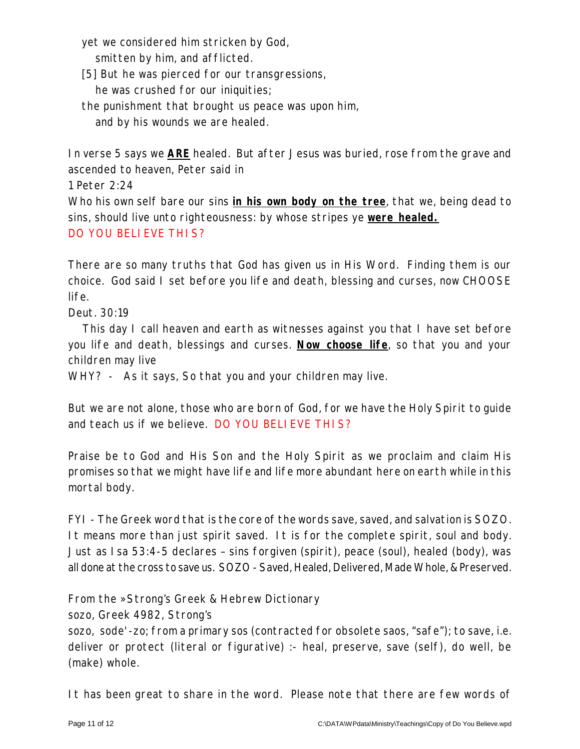yet we considered him stricken by God,

smitten by him, and afflicted.

[5] But he was pierced for our transgressions,

he was crushed for our iniquities;

the punishment that brought us peace was upon him,

and by his wounds we are healed.

In verse 5 says we **ARE** healed. But after Jesus was buried, rose from the grave and ascended to heaven, Peter said in

1 Peter 2:24

Who his own self bare our sins **in his own body on the tree**, that we, being dead to sins, should live unto righteousness: by whose stripes ye **were healed.** DO YOU BELI EVE THIS?

There are so many truths that God has given us in His Word. Finding them is our choice. God said I set before you life and death, blessing and curses, now CHOOSE life.

Deut. 30:19

This day I call heaven and earth as witnesses against you that I have set before you life and death, blessings and curses. **Now choose life**, so that you and your children may live

WHY? - As it says, So that you and your children may live.

But we are not alone, those who are born of God, for we have the Holy Spirit to guide and teach us if we believe. DO YOU BELIEVE THIS?

Praise be to God and His Son and the Holy Spirit as we proclaim and claim His promises so that we might have life and life more abundant here on earth while in this mortal body.

FYI - The Greek word that is the core of the words save, saved, and salvation is SOZO. It means more than just spirit saved. It is for the complete spirit, soul and body. Just as Isa 53:4-5 declares – sins forgiven (spirit), peace (soul), healed (body), was all done at the cross to save us. SOZO - Saved, Healed, Delivered, Made Whole, & Preserved.

From the »Strong's Greek & Hebrew Dictionary

sozo, Greek 4982, Strong's

sozo, sode'-zo; from a primary sos (contracted for obsolete saos, "safe"); to save, i.e. deliver or protect (literal or figurative) :- heal, preserve, save (self), do well, be (make) whole.

It has been great to share in the word. Please note that there are few words of